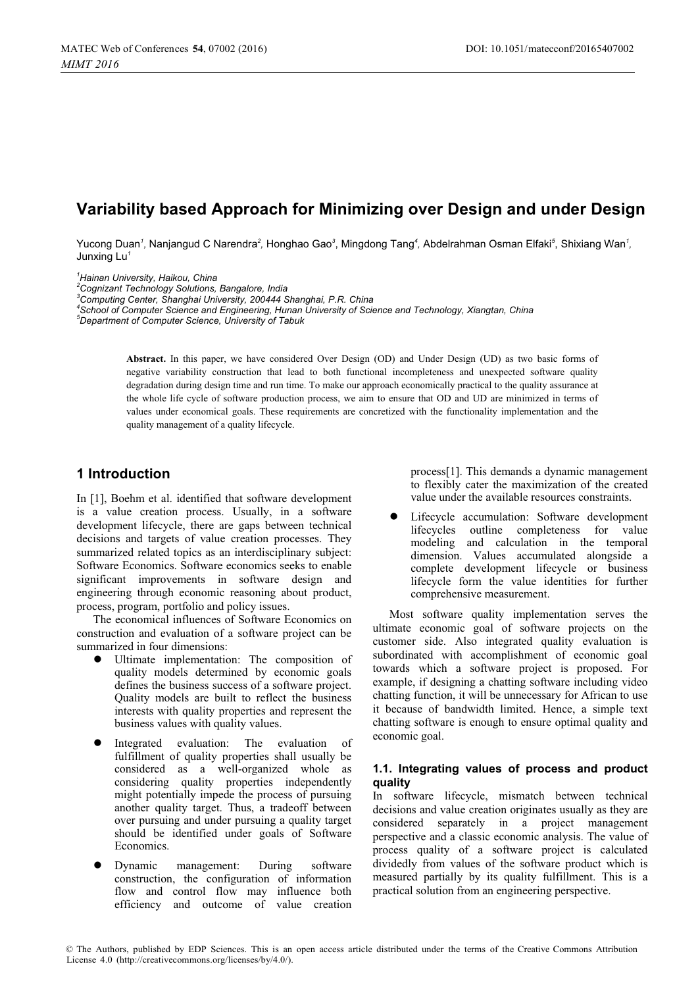# **Variability based Approach for Minimizing over Design and under Design**

Yucong Duan<sup>*1</sup>,* Nanjangud C Narendra<sup>2</sup>, Honghao Gao<sup>3</sup>, Mingdong Tang<sup>4</sup>, Abdelrahman Osman Elfaki<sup>5</sup>, Shixiang Wan<sup>7</sup>,</sup> Junxing Lu*<sup>1</sup>*

*1 Hainan University, Haikou, China* 

*2 Cognizant Technology Solutions, Bangalore, India 3*

*Computing Center, Shanghai University, 200444 Shanghai, P.R. China 4*

*School of Computer Science and Engineering, Hunan University of Science and Technology, Xiangtan, China 5*

*Department of Computer Science, University of Tabuk* 

**Abstract.** In this paper, we have considered Over Design (OD) and Under Design (UD) as two basic forms of negative variability construction that lead to both functional incompleteness and unexpected software quality degradation during design time and run time. To make our approach economically practical to the quality assurance at the whole life cycle of software production process, we aim to ensure that OD and UD are minimized in terms of values under economical goals. These requirements are concretized with the functionality implementation and the quality management of a quality lifecycle.

# **1 Introduction**

In [1], Boehm et al. identified that software development is a value creation process. Usually, in a software development lifecycle, there are gaps between technical decisions and targets of value creation processes. They summarized related topics as an interdisciplinary subject: Software Economics. Software economics seeks to enable significant improvements in software design and engineering through economic reasoning about product, process, program, portfolio and policy issues.

The economical influences of Software Economics on construction and evaluation of a software project can be summarized in four dimensions:

- Ultimate implementation: The composition of quality models determined by economic goals defines the business success of a software project. Quality models are built to reflect the business interests with quality properties and represent the business values with quality values.
- $\bullet$  Integrated evaluation: The evaluation of fulfillment of quality properties shall usually be considered as a well-organized whole as considering quality properties independently might potentially impede the process of pursuing another quality target. Thus, a tradeoff between over pursuing and under pursuing a quality target should be identified under goals of Software Economics.
- $\bullet$  Dynamic management: During software construction, the configuration of information flow and control flow may influence both efficiency and outcome of value creation

process[1]. This demands a dynamic management to flexibly cater the maximization of the created value under the available resources constraints.

 $\bullet$  Lifecycle accumulation: Software development lifecycles outline completeness for value modeling and calculation in the temporal dimension. Values accumulated alongside a complete development lifecycle or business lifecycle form the value identities for further comprehensive measurement.

Most software quality implementation serves the ultimate economic goal of software projects on the customer side. Also integrated quality evaluation is subordinated with accomplishment of economic goal towards which a software project is proposed. For example, if designing a chatting software including video chatting function, it will be unnecessary for African to use it because of bandwidth limited. Hence, a simple text chatting software is enough to ensure optimal quality and economic goal.

## **1.1. Integrating values of process and product quality**

In software lifecycle, mismatch between technical decisions and value creation originates usually as they are considered separately in a project management perspective and a classic economic analysis. The value of process quality of a software project is calculated dividedly from values of the software product which is measured partially by its quality fulfillment. This is a practical solution from an engineering perspective.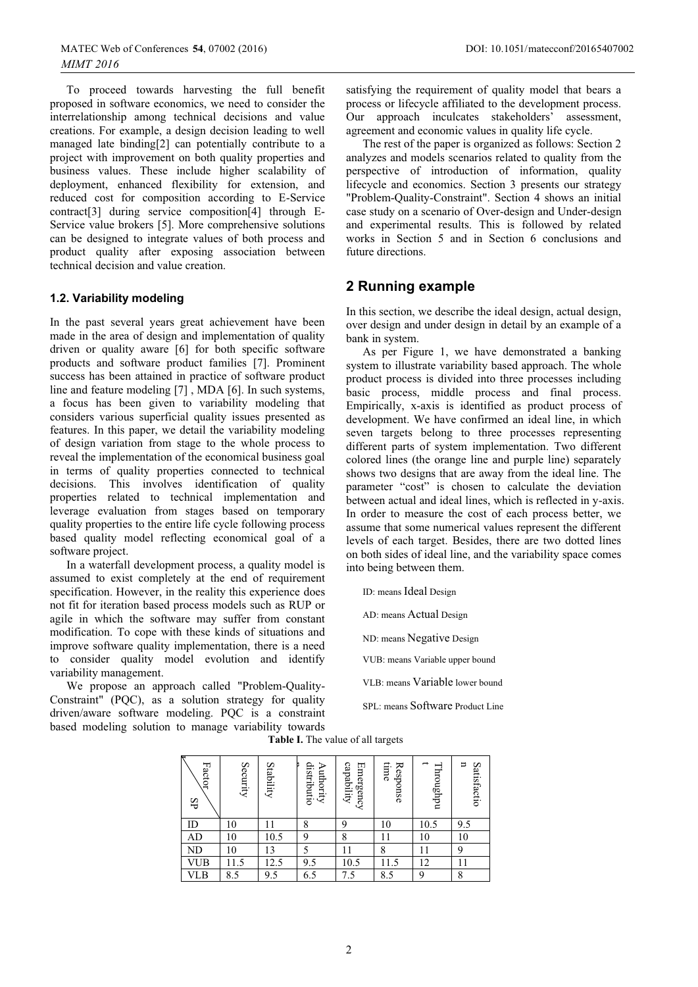To proceed towards harvesting the full benefit proposed in software economics, we need to consider the interrelationship among technical decisions and value creations. For example, a design decision leading to well managed late binding[2] can potentially contribute to a project with improvement on both quality properties and business values. These include higher scalability of deployment, enhanced flexibility for extension, and reduced cost for composition according to E-Service contract[3] during service composition[4] through E-Service value brokers [5]. More comprehensive solutions can be designed to integrate values of both process and product quality after exposing association between technical decision and value creation.

### **1.2. Variability modeling**

In the past several years great achievement have been made in the area of design and implementation of quality driven or quality aware [6] for both specific software products and software product families [7]. Prominent success has been attained in practice of software product line and feature modeling [7] , MDA [6]. In such systems, a focus has been given to variability modeling that considers various superficial quality issues presented as features. In this paper, we detail the variability modeling of design variation from stage to the whole process to reveal the implementation of the economical business goal in terms of quality properties connected to technical decisions. This involves identification of quality properties related to technical implementation and leverage evaluation from stages based on temporary quality properties to the entire life cycle following process based quality model reflecting economical goal of a software project.

In a waterfall development process, a quality model is assumed to exist completely at the end of requirement specification. However, in the reality this experience does not fit for iteration based process models such as RUP or agile in which the software may suffer from constant modification. To cope with these kinds of situations and improve software quality implementation, there is a need to consider quality model evolution and identify variability management.

We propose an approach called "Problem-Quality-Constraint" (PQC), as a solution strategy for quality driven/aware software modeling. PQC is a constraint based modeling solution to manage variability towards satisfying the requirement of quality model that bears a process or lifecycle affiliated to the development process. Our approach inculcates stakeholders' assessment, agreement and economic values in quality life cycle.

The rest of the paper is organized as follows: Section 2 analyzes and models scenarios related to quality from the perspective of introduction of information, quality lifecycle and economics. Section 3 presents our strategy "Problem-Quality-Constraint". Section 4 shows an initial case study on a scenario of Over-design and Under-design and experimental results. This is followed by related works in Section 5 and in Section 6 conclusions and future directions.

# **2 Running example**

In this section, we describe the ideal design, actual design, over design and under design in detail by an example of a bank in system.

As per Figure 1, we have demonstrated a banking system to illustrate variability based approach. The whole product process is divided into three processes including basic process, middle process and final process. Empirically, x-axis is identified as product process of development. We have confirmed an ideal line, in which seven targets belong to three processes representing different parts of system implementation. Two different colored lines (the orange line and purple line) separately shows two designs that are away from the ideal line. The parameter "cost" is chosen to calculate the deviation between actual and ideal lines, which is reflected in y-axis. In order to measure the cost of each process better, we assume that some numerical values represent the different levels of each target. Besides, there are two dotted lines on both sides of ideal line, and the variability space comes into being between them.

ID: means Ideal Design

AD: means Actual Design

ND: means Negative Design

VUB: means Variable upper bound

VLB: means Variable lower bound

SPL: means Software Product Line

**Table I.** The value of all targets

| Factor<br>SP | Security | Stability | distributio<br>Authority | capability<br>Emergency | time<br>Response | $\rightarrow$<br>Throughpu | ㅂ<br>Satisfactio |
|--------------|----------|-----------|--------------------------|-------------------------|------------------|----------------------------|------------------|
| ID           | 10       |           | 8                        | 9                       | 10               | 10.5                       | 9.5              |
| AD           | 10       | 10.5      | 9                        | 8                       | 11               | 10                         | 10               |
| ND           | 10       | 13        | 5                        |                         | 8                | 11                         | 9                |
| VUB          | 11.5     | 12.5      | 9.5                      | 10.5                    | 11.5             | 12                         | 11               |
| VLB          | 8.5      | 9.5       | 6.5                      | 7.5                     | 8.5              | 9                          | 8                |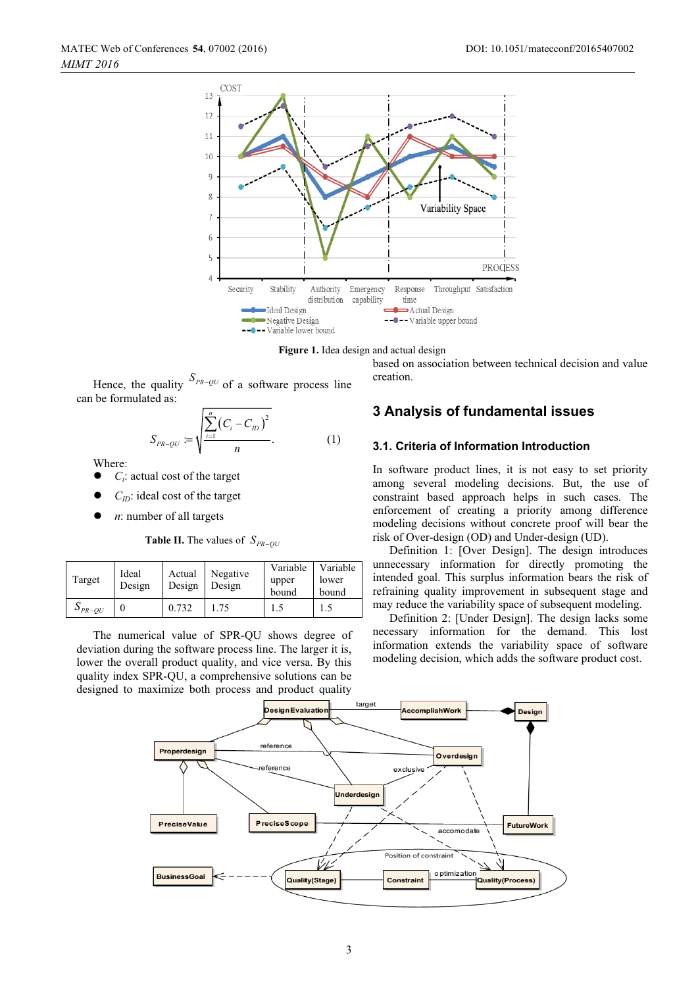



Hence, the quality  $S_{PR-QU}$  of a software process line can be formulated as:

$$
S_{PR-QU} = \sqrt{\frac{\sum_{i=1}^{n} (C_i - C_{ID})^2}{n}}.
$$
 (1)

Where:

- $\bullet$ *Ci*: actual cost of the target
- $\bullet$ *C<sub>ID</sub>*: ideal cost of the target
- $\bullet$ *n*: number of all targets

**Table II.** The values of  $S_{PR-OU}$ 

| Target                | Ideal<br>Design | Actual<br>Design | Negative<br>Design | Variable<br>upper<br>bound | Variable<br>lower<br>bound |
|-----------------------|-----------------|------------------|--------------------|----------------------------|----------------------------|
| $\mathcal{P}_{PR-OU}$ |                 | 0.732            | 1.75               |                            |                            |

The numerical value of SPR-QU shows degree of deviation during the software process line. The larger it is, lower the overall product quality, and vice versa. By this quality index SPR-QU, a comprehensive solutions can be designed to maximize both process and product quality

based on association between technical decision and value creation.

## **3 Analysis of fundamental issues**

### **3.1. Criteria of Information Introduction**

In software product lines, it is not easy to set priority among several modeling decisions. But, the use of constraint based approach helps in such cases. The enforcement of creating a priority among difference modeling decisions without concrete proof will bear the risk of Over-design (OD) and Under-design (UD).

Definition 1: [Over Design]. The design introduces unnecessary information for directly promoting the intended goal. This surplus information bears the risk of refraining quality improvement in subsequent stage and may reduce the variability space of subsequent modeling.

Definition 2: [Under Design]. The design lacks some necessary information for the demand. This lost information extends the variability space of software modeling decision, which adds the software product cost.

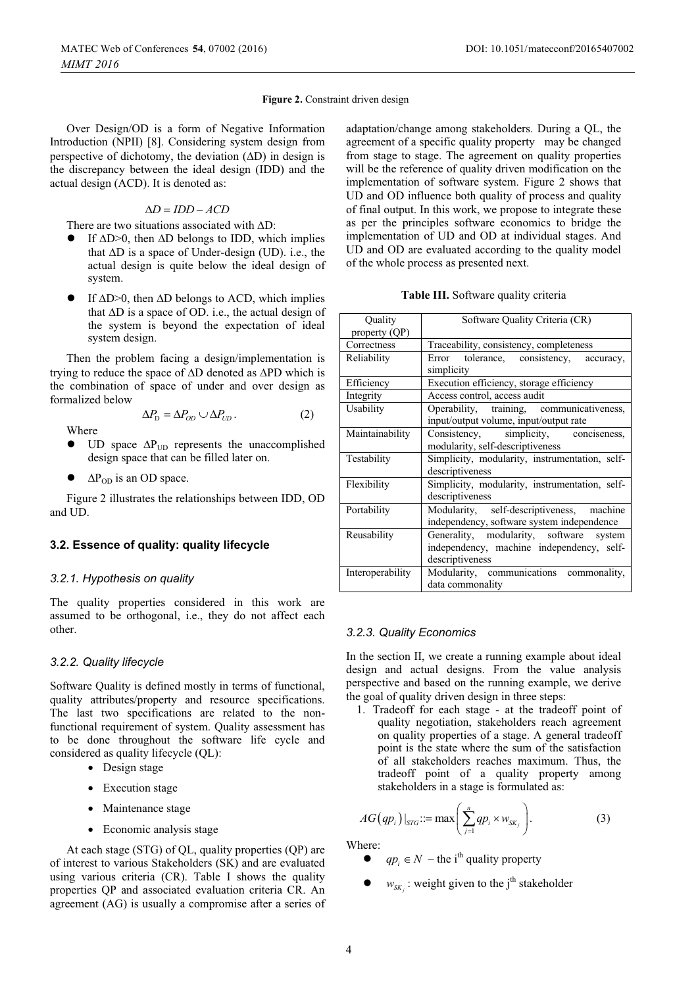#### **Figure 2.** Constraint driven design

Over Design/OD is a form of Negative Information Introduction (NPII) [8]. Considering system design from perspective of dichotomy, the deviation  $(AD)$  in design is the discrepancy between the ideal design (IDD) and the actual design (ACD). It is denoted as:

## $\Delta D = I D D - A C D$

There are two situations associated with  $\Delta D$ :

- If  $\Delta D > 0$ , then  $\Delta D$  belongs to IDD, which implies that  $\Delta D$  is a space of Under-design (UD). i.e., the actual design is quite below the ideal design of system.
- If  $\Delta D > 0$ , then  $\Delta D$  belongs to ACD, which implies that  $\Delta D$  is a space of OD. i.e., the actual design of the system is beyond the expectation of ideal system design.

Then the problem facing a design/implementation is trying to reduce the space of  $\Delta D$  denoted as  $\Delta PD$  which is the combination of space of under and over design as formalized below

Where

 $\bullet$ UD space  $\Delta P_{UD}$  represents the unaccomplished design space that can be filled later on.

 $\Delta P_{\text{p}} = \Delta P_{\text{op}} \cup \Delta P_{\text{up}}.$  (2)

 $\bullet$  $\Delta P_{OD}$  is an OD space.

Figure 2 illustrates the relationships between IDD, OD and UD.

### **3.2. Essence of quality: quality lifecycle**

#### *3.2.1. Hypothesis on quality*

The quality properties considered in this work are assumed to be orthogonal, i.e., they do not affect each other.

#### *3.2.2. Quality lifecycle*

Software Quality is defined mostly in terms of functional, quality attributes/property and resource specifications. The last two specifications are related to the nonfunctional requirement of system. Quality assessment has to be done throughout the software life cycle and considered as quality lifecycle (QL):

- Design stage
- Execution stage
- Maintenance stage
- Economic analysis stage

At each stage (STG) of QL, quality properties (QP) are of interest to various Stakeholders (SK) and are evaluated using various criteria (CR). Table I shows the quality properties QP and associated evaluation criteria CR. An agreement (AG) is usually a compromise after a series of adaptation/change among stakeholders. During a QL, the agreement of a specific quality property may be changed from stage to stage. The agreement on quality properties will be the reference of quality driven modification on the implementation of software system. Figure 2 shows that UD and OD influence both quality of process and quality of final output. In this work, we propose to integrate these as per the principles software economics to bridge the implementation of UD and OD at individual stages. And UD and OD are evaluated according to the quality model of the whole process as presented next.

**Table III.** Software quality criteria

| Quality          | Software Quality Criteria (CR)                                                                          |  |  |  |
|------------------|---------------------------------------------------------------------------------------------------------|--|--|--|
| property (QP)    |                                                                                                         |  |  |  |
| Correctness      | Traceability, consistency, completeness                                                                 |  |  |  |
| Reliability      | Error tolerance, consistency, accuracy,<br>simplicity                                                   |  |  |  |
| Efficiency       | Execution efficiency, storage efficiency                                                                |  |  |  |
| Integrity        | Access control, access audit                                                                            |  |  |  |
| Usability        | Operability, training, communicativeness,<br>input/output volume, input/output rate                     |  |  |  |
| Maintainability  | Consistency, simplicity, conciseness,<br>modularity, self-descriptiveness                               |  |  |  |
| Testability      | Simplicity, modularity, instrumentation, self-<br>descriptiveness                                       |  |  |  |
| Flexibility      | Simplicity, modularity, instrumentation, self-<br>descriptiveness                                       |  |  |  |
| Portability      | Modularity, self-descriptiveness,<br>machine<br>independency, software system independence              |  |  |  |
| Reusability      | Generality, modularity, software system<br>independency, machine independency, self-<br>descriptiveness |  |  |  |
| Interoperability | Modularity, communications commonality,<br>data commonality                                             |  |  |  |

#### *3.2.3. Quality Economics*

In the section II, we create a running example about ideal design and actual designs. From the value analysis perspective and based on the running example, we derive the goal of quality driven design in three steps:

1. Tradeoff for each stage - at the tradeoff point of quality negotiation, stakeholders reach agreement on quality properties of a stage. A general tradeoff point is the state where the sum of the satisfaction of all stakeholders reaches maximum. Thus, the tradeoff point of a quality property among stakeholders in a stage is formulated as:

$$
AG(qp_i)|_{STG} ::= \max\left(\sum_{j=1}^n qp_i \times w_{SK_j}\right).
$$
 (3)

Where:

- $\bullet$  $qp_i \in N$  – the i<sup>th</sup> quality property
- $\bullet$  *w<sub>SK<sub>i</sub>*</sub>: weight given to the j<sup>th</sup> stakeholder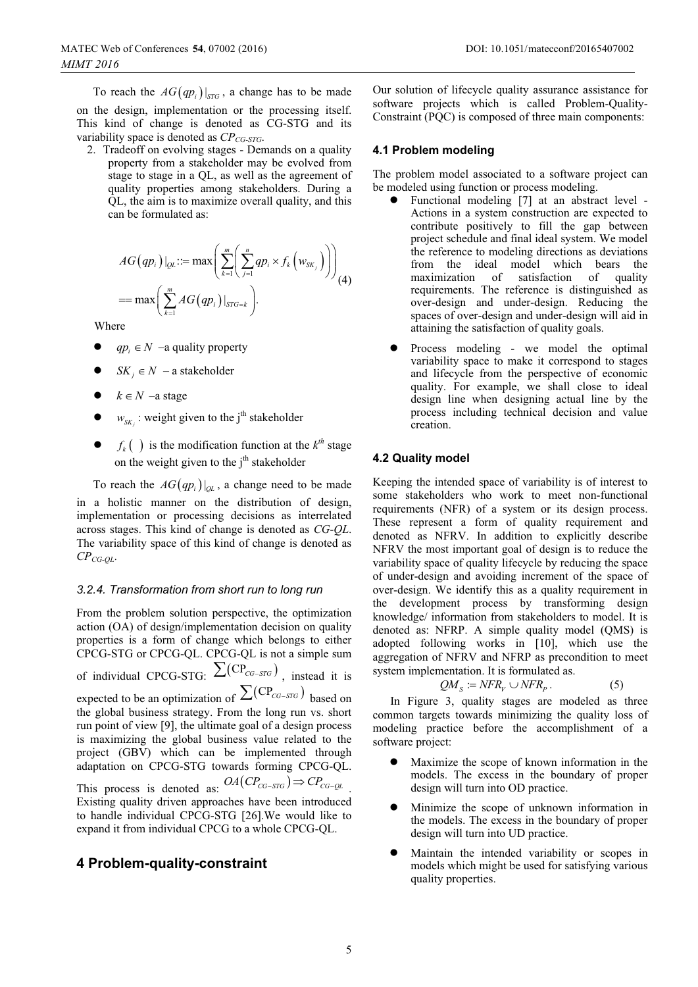To reach the  $AG(qp_i)|_{STG}$ , a change has to be made on the design, implementation or the processing itself. This kind of change is denoted as CG-STG and its variability space is denoted as *CP<sub>CG-STG</sub>*.

2. Tradeoff on evolving stages - Demands on a quality property from a stakeholder may be evolved from stage to stage in a QL, as well as the agreement of quality properties among stakeholders. During a QL, the aim is to maximize overall quality, and this can be formulated as:

$$
AG(qp_i)|_{QL} ::= \max \left( \sum_{k=1}^m \left( \sum_{j=1}^n qp_j \times f_k \left( w_{SK_j} \right) \right) \right)
$$
  
= 
$$
\max \left( \sum_{k=1}^m AG(qp_i) \big|_{STG=k} \right).
$$
 (4)

Where

- $\bullet$  $qp_i \in N$  –a quality property
- $\bullet$  $SK_i \in N$  – a stakeholder
- $\bullet$  $k \in N$  –a stage
- $\bullet$  $w_{SK}$  : weight given to the j<sup>th</sup> stakeholder
- $\bullet$ •  $f_k$  ( ) is the modification function at the  $k^{th}$  stage on the weight given to the  $j<sup>th</sup>$  stakeholder

To reach the  $AG(qp_i)|_{\partial L}$ , a change need to be made in a holistic manner on the distribution of design, implementation or processing decisions as interrelated across stages. This kind of change is denoted as *CG-QL*. The variability space of this kind of change is denoted as *CPCG-QL*.

### *3.2.4. Transformation from short run to long run*

From the problem solution perspective, the optimization action (OA) of design/implementation decision on quality properties is a form of change which belongs to either CPCG-STG or CPCG-QL. CPCG-QL is not a simple sum of individual CPCG-STG:  $\sum (CP_{CG-STG})$ , instead it is expected to be an optimization of  $\sum (CP_{CG-STG})$  based on the global business strategy. From the long run vs. short run point of view [9], the ultimate goal of a design process is maximizing the global business value related to the project (GBV) which can be implemented through adaptation on CPCG-STG towards forming CPCG-QL. This process is denoted as:  $OA(CP_{CG-STG}) \Rightarrow CP_{CG-QL}$ . Existing quality driven approaches have been introduced to handle individual CPCG-STG [26].We would like to expand it from individual CPCG to a whole CPCG-QL.

## **4 Problem-quality-constraint**

Our solution of lifecycle quality assurance assistance for software projects which is called Problem-Quality-Constraint (PQC) is composed of three main components:

#### **4.1 Problem modeling**

The problem model associated to a software project can be modeled using function or process modeling.

- $\bullet$  Functional modeling [7] at an abstract level - Actions in a system construction are expected to contribute positively to fill the gap between project schedule and final ideal system. We model the reference to modeling directions as deviations from the ideal model which bears the maximization of satisfaction of quality of satisfaction of quality requirements. The reference is distinguished as over-design and under-design. Reducing the spaces of over-design and under-design will aid in attaining the satisfaction of quality goals.
- $\bullet$  Process modeling - we model the optimal variability space to make it correspond to stages and lifecycle from the perspective of economic quality. For example, we shall close to ideal design line when designing actual line by the process including technical decision and value creation.

## **4.2 Quality model**

Keeping the intended space of variability is of interest to some stakeholders who work to meet non-functional requirements (NFR) of a system or its design process. These represent a form of quality requirement and denoted as NFRV. In addition to explicitly describe NFRV the most important goal of design is to reduce the variability space of quality lifecycle by reducing the space of under-design and avoiding increment of the space of over-design. We identify this as a quality requirement in the development process by transforming design knowledge/ information from stakeholders to model. It is denoted as: NFRP. A simple quality model (QMS) is adopted following works in [10], which use the aggregation of NFRV and NFRP as precondition to meet system implementation. It is formulated as.

$$
QM_s := NFR_v \cup NFR_p. \tag{5}
$$

In Figure 3, quality stages are modeled as three common targets towards minimizing the quality loss of modeling practice before the accomplishment of a software project:

- $\bullet$  Maximize the scope of known information in the models. The excess in the boundary of proper design will turn into OD practice.
- $\bullet$  Minimize the scope of unknown information in the models. The excess in the boundary of proper design will turn into UD practice.
- $\bullet$  Maintain the intended variability or scopes in models which might be used for satisfying various quality properties.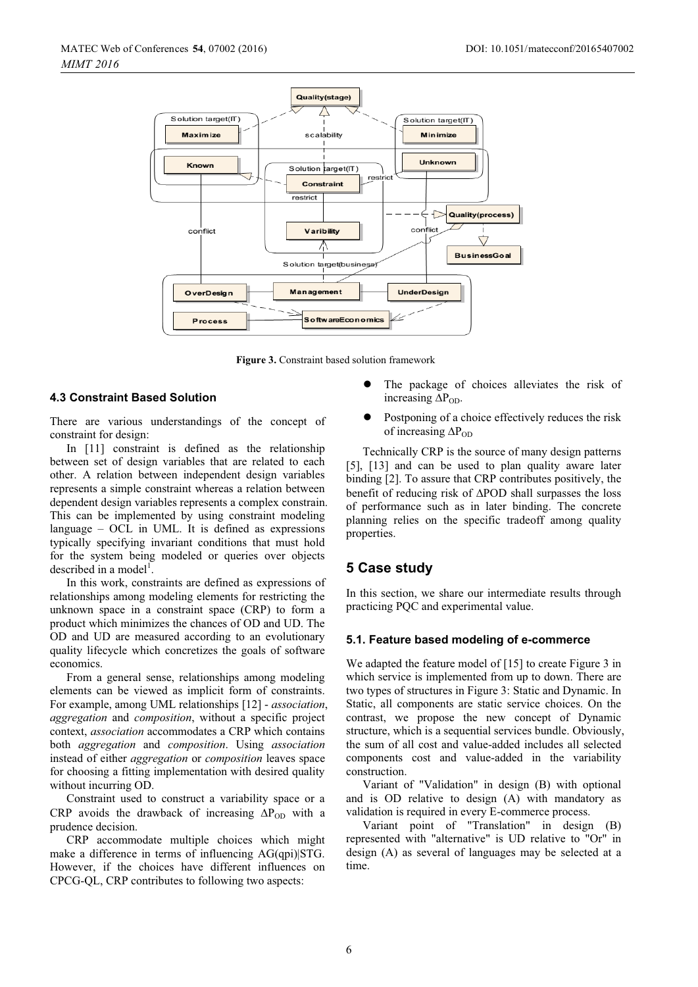

**Figure 3.** Constraint based solution framework

#### **4.3 Constraint Based Solution**

There are various understandings of the concept of constraint for design:

In [11] constraint is defined as the relationship between set of design variables that are related to each other. A relation between independent design variables represents a simple constraint whereas a relation between dependent design variables represents a complex constrain. This can be implemented by using constraint modeling language – OCL in UML. It is defined as expressions typically specifying invariant conditions that must hold for the system being modeled or queries over objects described in a model<sup>1</sup>.

In this work, constraints are defined as expressions of relationships among modeling elements for restricting the unknown space in a constraint space (CRP) to form a product which minimizes the chances of OD and UD. The OD and UD are measured according to an evolutionary quality lifecycle which concretizes the goals of software economics.

From a general sense, relationships among modeling elements can be viewed as implicit form of constraints. For example, among UML relationships [12] - *association*, *aggregation* and *composition*, without a specific project context, *association* accommodates a CRP which contains both *aggregation* and *composition*. Using *association* instead of either *aggregation* or *composition* leaves space for choosing a fitting implementation with desired quality without incurring OD.

Constraint used to construct a variability space or a CRP avoids the drawback of increasing  $\Delta P_{OD}$  with a prudence decision.

CRP accommodate multiple choices which might make a difference in terms of influencing AG(qpi)|STG. However, if the choices have different influences on CPCG-QL, CRP contributes to following two aspects:

- $\bullet$  The package of choices alleviates the risk of increasing  $\Delta P_{OD}$ .
- $\bullet$  Postponing of a choice effectively reduces the risk of increasing  $\Delta P_{OD}$

Technically CRP is the source of many design patterns [5], [13] and can be used to plan quality aware later binding [2]. To assure that CRP contributes positively, the benefit of reducing risk of  $\triangle POD$  shall surpasses the loss of performance such as in later binding. The concrete planning relies on the specific tradeoff among quality properties.

## **5 Case study**

In this section, we share our intermediate results through practicing PQC and experimental value.

#### **5.1. Feature based modeling of e-commerce**

We adapted the feature model of [15] to create Figure 3 in which service is implemented from up to down. There are two types of structures in Figure 3: Static and Dynamic. In Static, all components are static service choices. On the contrast, we propose the new concept of Dynamic structure, which is a sequential services bundle. Obviously, the sum of all cost and value-added includes all selected components cost and value-added in the variability construction.

Variant of "Validation" in design (B) with optional and is OD relative to design (A) with mandatory as validation is required in every E-commerce process.

Variant point of "Translation" in design (B) represented with "alternative" is UD relative to "Or" in design (A) as several of languages may be selected at a time.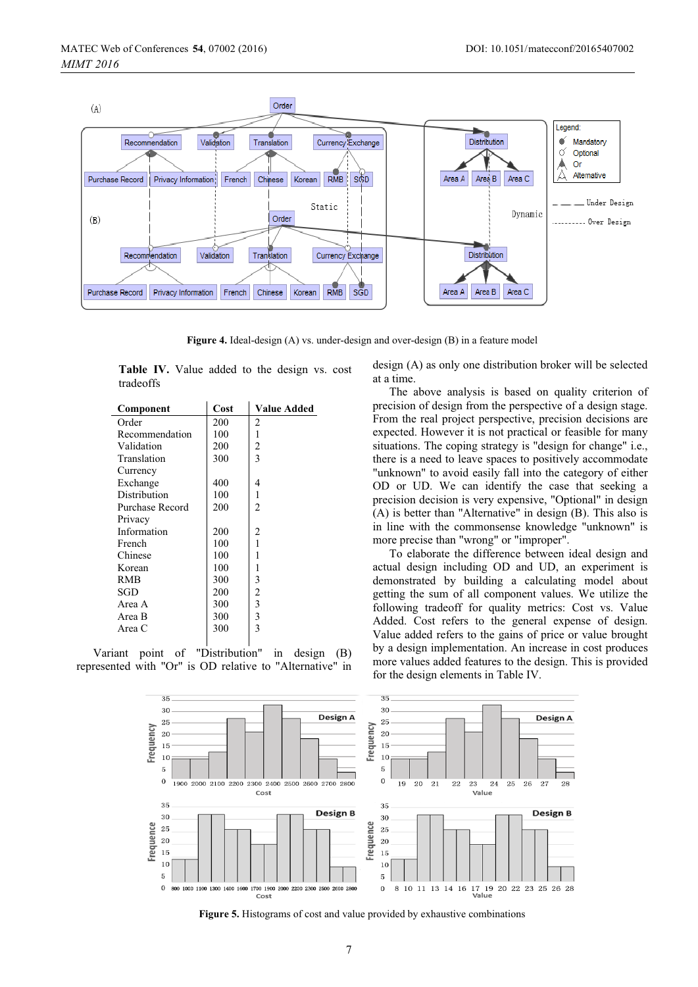

**Figure 4.** Ideal-design (A) vs. under-design and over-design (B) in a feature model

**Table IV.** Value added to the design vs. cost tradeoffs

| Component       | Cost | Value Added    |
|-----------------|------|----------------|
| Order           | 200  | 2              |
| Recommendation  | 100  | 1              |
| Validation      | 200  | $\overline{2}$ |
| Translation     | 300  | 3              |
| Currency        |      |                |
| Exchange        | 400  | 4              |
| Distribution    | 100  | 1              |
| Purchase Record | 200  | $\overline{c}$ |
| Privacy         |      |                |
| Information     | 200  | 2              |
| French          | 100  | 1              |
| Chinese         | 100  | 1              |
| Korean          | 100  | 1              |
| RMB             | 300  | 3              |
| SGD             | 200  | $\overline{2}$ |
| Area A          | 300  | 3              |
| Area B          | 300  | 3              |
| Area C          | 300  | 3              |
|                 |      |                |

Variant point of "Distribution" in design (B) represented with "Or" is OD relative to "Alternative" in design (A) as only one distribution broker will be selected at a time.

The above analysis is based on quality criterion of precision of design from the perspective of a design stage. From the real project perspective, precision decisions are expected. However it is not practical or feasible for many situations. The coping strategy is "design for change" i.e., there is a need to leave spaces to positively accommodate "unknown" to avoid easily fall into the category of either OD or UD. We can identify the case that seeking a precision decision is very expensive, "Optional" in design (A) is better than "Alternative" in design (B). This also is in line with the commonsense knowledge "unknown" is more precise than "wrong" or "improper".

To elaborate the difference between ideal design and actual design including OD and UD, an experiment is demonstrated by building a calculating model about getting the sum of all component values. We utilize the following tradeoff for quality metrics: Cost vs. Value Added. Cost refers to the general expense of design. Value added refers to the gains of price or value brought by a design implementation. An increase in cost produces more values added features to the design. This is provided for the design elements in Table IV.



**Figure 5.** Histograms of cost and value provided by exhaustive combinations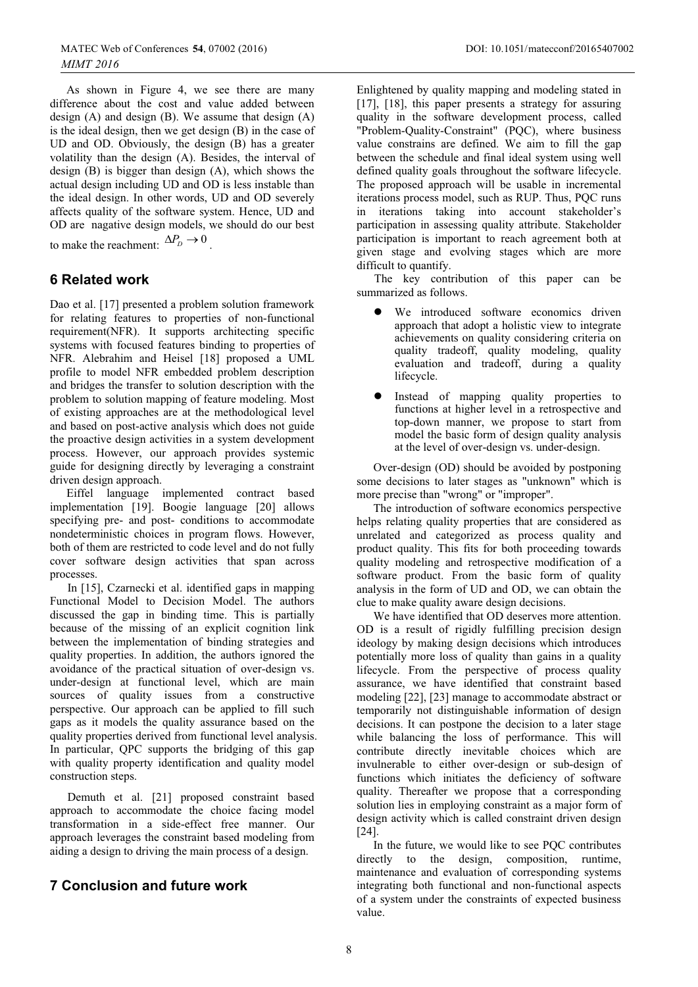As shown in Figure 4, we see there are many difference about the cost and value added between design (A) and design (B). We assume that design (A) is the ideal design, then we get design (B) in the case of UD and OD. Obviously, the design (B) has a greater volatility than the design (A). Besides, the interval of design (B) is bigger than design (A), which shows the actual design including UD and OD is less instable than the ideal design. In other words, UD and OD severely affects quality of the software system. Hence, UD and OD are nagative design models, we should do our best to make the reachment:  $\Delta P_D \rightarrow 0$ 

# **6 Related work**

Dao et al. [17] presented a problem solution framework for relating features to properties of non-functional requirement(NFR). It supports architecting specific systems with focused features binding to properties of NFR. Alebrahim and Heisel [18] proposed a UML profile to model NFR embedded problem description and bridges the transfer to solution description with the problem to solution mapping of feature modeling. Most of existing approaches are at the methodological level and based on post-active analysis which does not guide the proactive design activities in a system development process. However, our approach provides systemic guide for designing directly by leveraging a constraint driven design approach.

Eiffel language implemented contract based implementation [19]. Boogie language [20] allows specifying pre- and post- conditions to accommodate nondeterministic choices in program flows. However, both of them are restricted to code level and do not fully cover software design activities that span across processes.

In [15], Czarnecki et al. identified gaps in mapping Functional Model to Decision Model. The authors discussed the gap in binding time. This is partially because of the missing of an explicit cognition link between the implementation of binding strategies and quality properties. In addition, the authors ignored the avoidance of the practical situation of over-design vs. under-design at functional level, which are main sources of quality issues from a constructive perspective. Our approach can be applied to fill such gaps as it models the quality assurance based on the quality properties derived from functional level analysis. In particular, QPC supports the bridging of this gap with quality property identification and quality model construction steps.

Demuth et al. [21] proposed constraint based approach to accommodate the choice facing model transformation in a side-effect free manner. Our approach leverages the constraint based modeling from aiding a design to driving the main process of a design.

# **7 Conclusion and future work**

Enlightened by quality mapping and modeling stated in [17], [18], this paper presents a strategy for assuring quality in the software development process, called "Problem-Quality-Constraint" (PQC), where business value constrains are defined. We aim to fill the gap between the schedule and final ideal system using well defined quality goals throughout the software lifecycle. The proposed approach will be usable in incremental iterations process model, such as RUP. Thus, PQC runs in iterations taking into account stakeholder's participation in assessing quality attribute. Stakeholder participation is important to reach agreement both at given stage and evolving stages which are more difficult to quantify.

The key contribution of this paper can be summarized as follows.

- $\bullet$  We introduced software economics driven approach that adopt a holistic view to integrate achievements on quality considering criteria on quality tradeoff, quality modeling, quality evaluation and tradeoff, during a quality lifecycle.
- $\bullet$  Instead of mapping quality properties to functions at higher level in a retrospective and top-down manner, we propose to start from model the basic form of design quality analysis at the level of over-design vs. under-design.

Over-design (OD) should be avoided by postponing some decisions to later stages as "unknown" which is more precise than "wrong" or "improper".

The introduction of software economics perspective helps relating quality properties that are considered as unrelated and categorized as process quality and product quality. This fits for both proceeding towards quality modeling and retrospective modification of a software product. From the basic form of quality analysis in the form of UD and OD, we can obtain the clue to make quality aware design decisions.

We have identified that OD deserves more attention. OD is a result of rigidly fulfilling precision design ideology by making design decisions which introduces potentially more loss of quality than gains in a quality lifecycle. From the perspective of process quality assurance, we have identified that constraint based modeling [22], [23] manage to accommodate abstract or temporarily not distinguishable information of design decisions. It can postpone the decision to a later stage while balancing the loss of performance. This will contribute directly inevitable choices which are invulnerable to either over-design or sub-design of functions which initiates the deficiency of software quality. Thereafter we propose that a corresponding solution lies in employing constraint as a major form of design activity which is called constraint driven design [24].

In the future, we would like to see PQC contributes directly to the design, composition, runtime, maintenance and evaluation of corresponding systems integrating both functional and non-functional aspects of a system under the constraints of expected business value.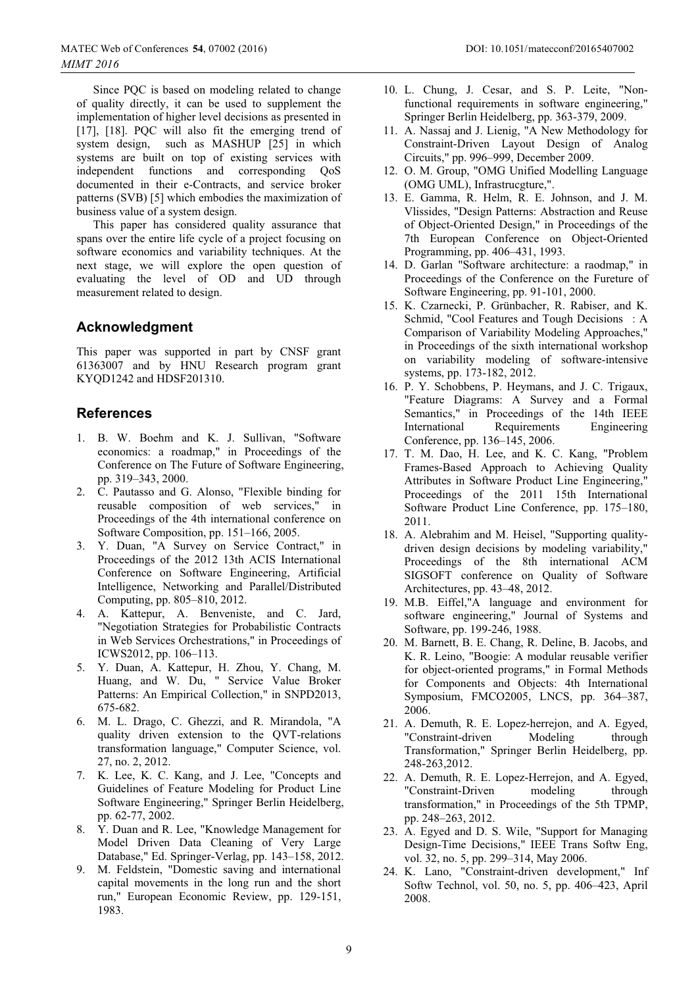Since PQC is based on modeling related to change of quality directly, it can be used to supplement the implementation of higher level decisions as presented in [17], [18]. PQC will also fit the emerging trend of system design, such as MASHUP [25] in which systems are built on top of existing services with independent functions and corresponding QoS documented in their e-Contracts, and service broker patterns (SVB) [5] which embodies the maximization of business value of a system design.

This paper has considered quality assurance that spans over the entire life cycle of a project focusing on software economics and variability techniques. At the next stage, we will explore the open question of evaluating the level of OD and UD through measurement related to design.

# **Acknowledgment**

This paper was supported in part by CNSF grant 61363007 and by HNU Research program grant KYQD1242 and HDSF201310.

# **References**

- 1. B. W. Boehm and K. J. Sullivan, "Software economics: a roadmap," in Proceedings of the Conference on The Future of Software Engineering, pp. 319–343, 2000.
- 2. C. Pautasso and G. Alonso, "Flexible binding for reusable composition of web services," in Proceedings of the 4th international conference on Software Composition, pp. 151–166, 2005.
- 3. Y. Duan, "A Survey on Service Contract," in Proceedings of the 2012 13th ACIS International Conference on Software Engineering, Artificial Intelligence, Networking and Parallel/Distributed Computing, pp. 805–810, 2012.
- 4. A. Kattepur, A. Benveniste, and C. Jard, "Negotiation Strategies for Probabilistic Contracts in Web Services Orchestrations," in Proceedings of ICWS2012, pp. 106–113.
- 5. Y. Duan, A. Kattepur, H. Zhou, Y. Chang, M. Huang, and W. Du, " Service Value Broker Patterns: An Empirical Collection," in SNPD2013, 675-682.
- 6. M. L. Drago, C. Ghezzi, and R. Mirandola, "A quality driven extension to the QVT-relations transformation language," Computer Science, vol. 27, no. 2, 2012.
- 7. K. Lee, K. C. Kang, and J. Lee, "Concepts and Guidelines of Feature Modeling for Product Line Software Engineering," Springer Berlin Heidelberg, pp. 62-77, 2002.
- 8. Y. Duan and R. Lee, "Knowledge Management for Model Driven Data Cleaning of Very Large Database," Ed. Springer-Verlag, pp. 143–158, 2012.
- 9. M. Feldstein, "Domestic saving and international capital movements in the long run and the short run," European Economic Review, pp. 129-151, 1983.
- 10. L. Chung, J. Cesar, and S. P. Leite, "Nonfunctional requirements in software engineering," Springer Berlin Heidelberg, pp. 363-379, 2009.
- 11. A. Nassaj and J. Lienig, "A New Methodology for Constraint-Driven Layout Design of Analog Circuits," pp. 996–999, December 2009.
- 12. O. M. Group, "OMG Unified Modelling Language (OMG UML), Infrastrucgture,".
- 13. E. Gamma, R. Helm, R. E. Johnson, and J. M. Vlissides, "Design Patterns: Abstraction and Reuse of Object-Oriented Design," in Proceedings of the 7th European Conference on Object-Oriented Programming, pp. 406–431, 1993.
- 14. D. Garlan "Software architecture: a raodmap," in Proceedings of the Conference on the Fureture of Software Engineering, pp. 91-101, 2000.
- 15. K. Czarnecki, P. Grünbacher, R. Rabiser, and K. Schmid, "Cool Features and Tough Decisions : A Comparison of Variability Modeling Approaches," in Proceedings of the sixth international workshop on variability modeling of software-intensive systems, pp. 173-182, 2012.
- 16. P. Y. Schobbens, P. Heymans, and J. C. Trigaux, "Feature Diagrams: A Survey and a Formal Semantics," in Proceedings of the 14th IEEE International Requirements Engineering Conference, pp. 136–145, 2006.
- 17. T. M. Dao, H. Lee, and K. C. Kang, "Problem Frames-Based Approach to Achieving Quality Attributes in Software Product Line Engineering," Proceedings of the 2011 15th International Software Product Line Conference, pp. 175–180, 2011.
- 18. A. Alebrahim and M. Heisel, "Supporting qualitydriven design decisions by modeling variability," Proceedings of the 8th international ACM SIGSOFT conference on Quality of Software Architectures, pp. 43–48, 2012.
- 19. M.B. Eiffel,"A language and environment for software engineering," Journal of Systems and Software, pp. 199-246, 1988.
- 20. M. Barnett, B. E. Chang, R. Deline, B. Jacobs, and K. R. Leino, "Boogie: A modular reusable verifier for object-oriented programs," in Formal Methods for Components and Objects: 4th International Symposium, FMCO2005, LNCS, pp. 364–387, 2006.
- 21. A. Demuth, R. E. Lopez-herrejon, and A. Egyed, "Constraint-driven Modeling through Transformation," Springer Berlin Heidelberg, pp. 248-263,2012.
- 22. A. Demuth, R. E. Lopez-Herrejon, and A. Egyed, "Constraint-Driven modeling through transformation," in Proceedings of the 5th TPMP, pp. 248–263, 2012.
- 23. A. Egyed and D. S. Wile, "Support for Managing Design-Time Decisions," IEEE Trans Softw Eng, vol. 32, no. 5, pp. 299–314, May 2006.
- 24. K. Lano, "Constraint-driven development," Inf Softw Technol, vol. 50, no. 5, pp. 406–423, April 2008.